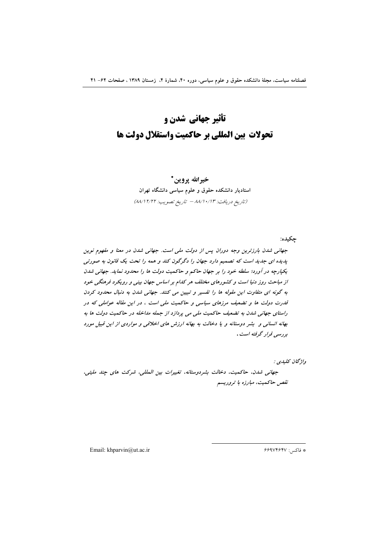خيرالله پروين\* استادیار دانشکده حقوق و علوم سیاسی دانشگاه تهران (تاريخ دريافت: ٨٨/١٠/١٣ - تاريخ تصويب: ٨٨/١٢/٢٢)

چکیده:

جهانی شدن بارزترین وجه دوران پس از دولت ملی است. جهانی شدن در معنا و مفهوم نوین پدیده ای جدید است که تصمیم دارد جهان را دگرگون کند و همه را تحت یک قانون به صورتی یکپارچه در آورد؛ سلطه خود را بر جهان حاکم و حاکمیت دولت ها را محدود نماید. جهانی شدن از مباحث روز دنیا است و کشورهای مختلف هر کدام بر اساس جهان بینی و رویکرد فرهنگی خود به گونه ای متفاوت این مقوله ها را تفسیر و تبیین می کنند. جهانی شدن به دنبال محدود کردن قدرت دولت ها و تضعیف مرزهای سیاسی و حاکمیت ملی است ، در این مقاله عواملی که در راستای جهانی شدن به تضعیف حاکمیت ملی می پردازد از جمله مداخله در حاکمیت دولت ها به بهانه انسانی و بشر دوستانه و یا دخالت به بهانه ارزش های اخلاقی و مواردی از این قبیل مورد ب<sub>و</sub> د سپ*ي قواد* گوفته است .

واۋىچان كىلىدى :

جهاني شدن، حاكميت، دخالت بشردوستانه، تغييرات بين المللي، شركت هاي چند مليتي، نقص حاكميت، مبارزه با تروريسم

Email: khparvin@ut.ac.ir

\* فاكس: ۶۶۹۷۴۶۴۷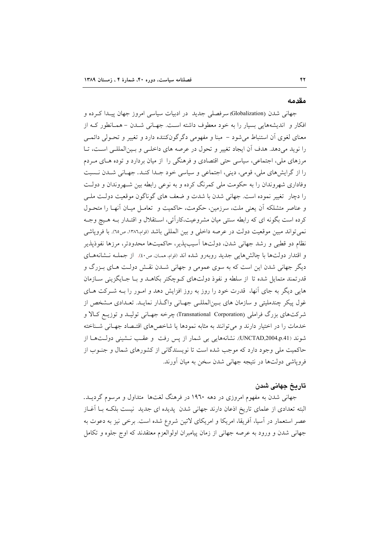#### مقدمه

جهانی شدن (Globalization) سرفصلی جدید در ادبیات سیاسی امروز جهان پیدا کرده و افکار و اندیشههایی بسیار را به خود معطوف داشته است. جهـانی شـدن – همـانطور کـه از معنای لغوی آن استنباط میشود – مبنا و مفهومی دگرگونکننده دارد و تغییر و تحـولی دائمـی را نوید میدهد. هدف آن ایجاد تغییر و تحول در عرصه های داخلـی و بـینالمللـی اسـت، تـا مرزهای ملی، اجتماعی، سیاسی حتی اقتصادی و فرهنگی را از میان بردارد و توده هـای مـردم را از گرایشهای ملی، قومی، دینی، اجتماعی و سیاسی خود جـدا کنـد. جهـانی شـدن نـسبت وفاداری شهروندان را به حکومت ملی کمرنگ کرده و به نوعی رابطه بین شـهروندان و دولـت را دچار تغییر نموده است. جهانی شدن با شدت و ضعف های گوناگون موقعیت دولت ملـی و عناصر متشلكه آن يعني ملت، سرزمين، حكومت، حاكميت و تعامـل ميـان آنهـا را متحـول کرده است بگونه ای که رابطه سنتی میان مشروعیت،کارآئی، اسـتقلال و اقتـدار بـه هـیچ وجـه نمي تواند مبين موقعيت دولت در عرصه داخلي و بين المللي باشد (قوام،١٣٨٦، ص٦٥). با فروپاشي نظام دو قطبی و رشد جهانی شدن، دولتها آسیبپذیر، حاکمیتها محدودتر، مرزها نفوذپذیر و اقتدار دولتها با چالشهایی جدید روبهرو شده اند (قوام همان ص٤٠). از جملـه نـشانههـای دیگر جهانی شدن این است که به سوی عمومی و جهانی شـدن نقـش دولـت هـای بـزرگ و قدرتمند متمایل شده تا از سلطه و نفوذ دولتهای کـوچکتر بکاهـد و بـا جـایگزینی سـازمان هایی دیگر به جای آنها، قدرت خود را روز به روز افزایش دهد و امـور را بــه شــرکت هــای غول پیکر چندملیتی و سازمان های بـینالمللـی جهـانی واگـذار نمایـد. تعـدادی مـشخص از شرکتهای بزرگ فراملی (Transnational Corporation) چرخه جهـانی تولیــد و توزیــع کــالا و خدمات را در اختیار دارند و میتوانند به مثابه نمودها یا شاخصهای اقتصاد جهـانی شـناخته شوند (UNCTAD,2004,p.41). نشانههایی بی شمار از پس رفت و عقب نشینی دولتها از حاکمیت ملی وجود دارد که موجب شده است تا نویسندگانی از کشورهای شمال و جنوب از فروپاشی دولتها در نتیجه جهانی شدن سخن به میان آورند.

## تاریخ جهانی شدن

جهانی شدن به مفهوم امروزی در دهه ۱۹۶۰ در فرهنگ لغتها ً متداول و مرسوم گردیــد. البته تعدادی از علمای تاریخ اذعان دارند جهانی شدن پدیده ای جدید نیست بلکـه بـا اَغــاز عصر استعمار در آسیا، آفریقا، امریکا و امریکای لاتین شروع شده است. برخی نیز به دعوت به جهاني شدن و ورود به عرصه جهاني از زمان پيامبران اولوالعزم معتقدند كه اوج جلوه و تكامل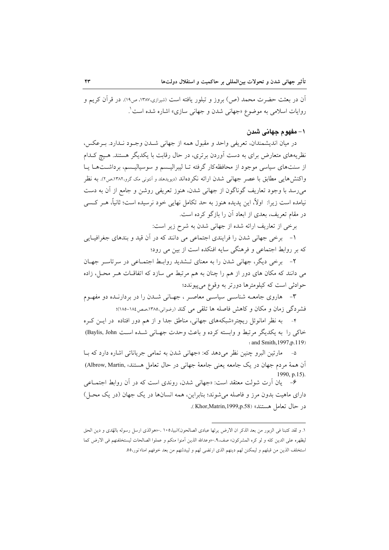آن در بعثت حضرت محمد (ص) بروز و تبلور یافته است (شیرازی،۱۳۸۷، ص۱۹). در قرآن کریم و روايات اسلامي به موضوع «جهاني شدن و جهاني سازي» اشاره شده است`.

## ١- مفهوم جهاني شدن

در ميان انديشمندان، تعريفي واحد و مقبول همه از جهاني شـدن وجـود نـدارد. بـرعكس، نظریههای متعارض برای به دست آوردن برتری، در حال رقابت با یکدیگر هستند. هـیچ کـدام از سنتهای سیاسی موجود از محافظهکار گرفته تـا لیبرالیـسم و سوسیالیـسم، برداشـتهـا یـا واکنش هایی مطابق با عصر جهانی شدن ارائه نکردهاند (دیویدهلد و آنتونی مک گرو،۱۳۸۲مص۲). به نظر می رسد با وجود تعاریف گوناگون از جهانی شدن، هنوز تعریفی روشن و جامع از آن به دست نیامده است زیرا: اولاً، این پدیده هنوز به حد تکامل نهایی خود نرسیده است؛ ثانیاً، هــر کــسی در مقام تعریف، بعدی از ابعاد آن را بازگو کرده است.

برخی از تعاریف ارائه شده از جهانی شدن به شرح زیر است:

۱- برخی جهانی شدن را فرایندی اجتماعی می دانند که در آن قید و بندهای جغرافیایی که بر روابط اجتماعی و فرهنگی سایه افنکده است از بین می رود؛

۲- برخی دیگر، جهانی شدن را به معنای تـشدید روابـط اجتمـاعی در سرتاسـر جهـان می دانند که مکان های دور از هم را چنان به هم مرتبط می سازد که اتفاقــات هــر محــل، زاده حوادثی است که کیلومترها دورتر به وقوع می پیوندد؛

۳- هاروی جامعـه شناسـی سیاسـی معاصـر ، جهـانی شـدن را در بردارنـده دو مفهـوم فشردگی زمان و مکان و کاهش فاصله ها تلقی می کند (رضوانی،۱۳۸۵،صص۱۸۶-۱۸۵)؛

۴- به نظر امانوئل ریچتر«شبکههای جهانی، مناطق جدا و از هم دور افتاده در ایـن کـره خاکی را به یکدیگر مرتبط و وابسته کرده و باعث وحدت جهبانی شده است Baylis, John) and Smith, 1997, p.119)

مارتین البرو چنین نظر می دهد که: «جهانی شدن به تمامی جریاناتی اشاره دارد که با آن همهٔ مردم جهان در یک جامعه یعنی جامعهٔ جهانی در حال تعامل هستند» ,Albrow, Martin) 1990, p.15).

۶- یان آرت شولت معتقد است: «جهانی شدن، روندی است که در آن روابط اجتمـاعی دارای ماهیت بدون مرز و فاصله می شوند؛ بنابراین، همه انسانها در یک جهان (در یک محـ)) در حال تعامل هستند» (Khor,Matrin,1999,p.58).

١. و لقد كتبنا في الزبور من بعد الذكر ان الارض يرثها عبادى الصالحون)انبيا،١٠٥ .–«هوالذى ارسل رسوله بالهُدى و دين الحق ليظهره على الدين كله و لو كره المشركون» صف٩.−«وعدالله الذين أمنوا منكم و عملوا الصالحات ليستخلفنهم في الارض كما استخلف الذين من قبلهم و ليمكنن لهم دينهم الذي ارتضى لهم و ليبدلنهم من بعد خوفهم امنا» نور،٥٥.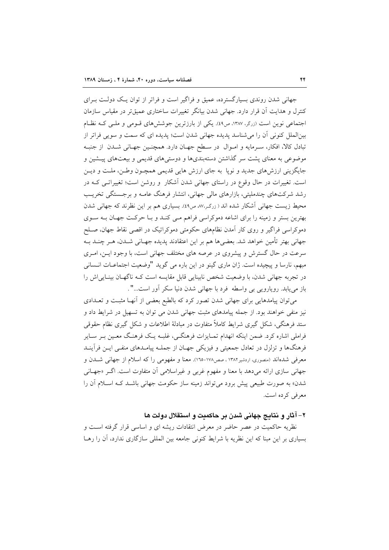جهانی شدن روندی بسیارگسترده، عمیق و فراگیر است و فراتر از توان یک دولت بـرای کنترل و هدایت آن قرار دارد. جهانی شدن بیانگر تغییرات ساختاری عمیقتر در مقیاس سازمان اجتماعی نوین است (زرگر، ۱۳۸۷، ص۹۹). یکی از بارزترین جوششهای قـومی و ملـی کـه نظـام بین|لملل کنونی آن را می شناسد یدیده جهانی شدن است؛ یدیده ای که سمت و سویی فراتر از تبادل كالا، افكار، سرمايه و اموال در سطح جهـان دارد. همچنـين جهـاني شـدن از جنبـه موضوعی به معنای پشت سر گذاشتن دستهبندیها و دوستیهای قدیمی و بیعتهای پیـشین و جايگزيني ارزشهاي جديد و نويا به جاي ارزش هايي قديمي همچـون وطـن، ملـت و ديـن است. تغییرات در حال وقوع در راستای جهانی شدن آشکار ًو روشن است؛ تغییراتبی کـه در رشد شرکتهای چندملیتی، بازارهای مالی جهانی، انتشار فرهنگ عامـه و برجـستگی تخریـب محیط زیست جهانی آشکار شده اند ( زرگر ۸۷٬ ص۱۶). بسیاری هم بر این نظرند که جهانی شدن بهترین بستر و زمینه را برای اشاعه دموکراسی فراهم مـی کنـد و بـا حرکـت جهـان بـه سـوی دموکراسی فراگیر و روی کار اَمدن نظامهای حکومتی دموکراتیک در اقصی نقاط جهان، صـلح جهاني بهتر تأمين خواهد شد. بعضيها هم بر اين اعتقادند پديده جهـاني شـدن، هـر چنـد بـه سرعت در حال گسترش و پیشروی در عرصه های مختلف جهانی است، با وجود ایـن، امـری مبهم، نارسا و پیچیده است. ژان ماری گینو در این باره می گوید "وضعیت اجتماعـات انـسانی در تجربه جهانی شدن، با وضعیت شخص نابینایی قابل مقایسه است کـه ناگهـان بینـایی|ش را باز می یابد. رویارویی بی واسطه فرد با جهانی شدن دنیا سکر آور است...".

می توان پیامدهایی برای جهانی شدن تصور کرد که بالطبع بعضی از آنهـا مثبـت و تعــدادی نیز منفی خواهند بود. از جمله پیامدهای مثبت جهانی شدن می توان به تسهیل در شرایط داد و ستد فرهنگی، شکل گیری شرایط کاملاً متفاوت در مبادلهٔ اطلاعات و شکل گیری نظام حقوقی فراملي اشاره كرد. ضمن اينكه انهدام تمـايزات فرهنگـي، غلبـه يـك فرهنـگ معـين بـر سـاير فرهنگها و تزلزل در تعادل جمعیتی و فیزیکی جهـان از جملـه پیامـدهای منفـی ایــن فرآینــد معرفی شدهاند (منصوری، اردشیر۱۳۸۲ ، صص۱۷۸-۱٦۵). معنا و مفهومی را که اسلام از جهانی شـدن و جهانی سازی ارائه میدهد با معنا و مفهوم غربی و غیراسلامی آن متفاوت است. اگر «جهـانی شدن» به صورت طبیعی پیش برود می تواند زمینه ساز حکومت جهانی باشـد کـه اسـلام آن را معرفي كرده است.

## ۲– آثار و نتایج جهانی شدن بر حاکمیت و استقلال دولت ها

نظریه حاکمیت در عصر حاضر در معرض انتقادات ریشه ای و اساسی قرار گرفته است و بسیاری بر این مبنا که این نظریه با شرایط کنونی جامعه بین المللی سازگاری ندارد، آن را رهـا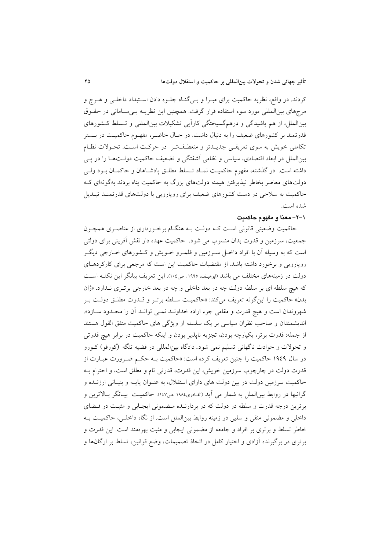کردند. در واقع، نظریه حاکمیت برای مبـرا و بـیگنـاه جلـوه دادن اسـتبداد داخلـی و هـرج و مرجهای بین|لمللی مورد سوء استفاده قرار گرفت. همچنین این نظریـه بـی سـامانی در حقــوق بینالملل، از هم پاشیدگی و درهمگسیختگی کارآیی تشکیلات بینالمللی و تـسلط کـشورهای قدرتمند بر کشورهای ضعیف را به دنبال داشت. در حـال حاضـر، مفهـوم حاکمیـت در بــستر تکاملی خویش به سوی تعریفی جدیـدتر و منعطـفتر در حرکـت اسـت. تحـولات نظـام بینالملل در ابعاد اقتصادی، سیاسی و نظامی آشفتگی و تضعیف حاکمیت دولـتهـا را در پــی داشته است. در گذشته، مفهوم حاکمیت نمـاد تـسلط مطلـق پادشـاهان و حاکمـان بـود ولـی دولتهای معاصر بخاطر نیذیرفتن هیمنه دولتهای بزرگ به حاکمیت پناه بردند بهگونهای ک حاکمیت به سلاحی در دست کشورهای ضعیف برای رویارویی با دولتهای قدرتمنـد تبـدیل شده است.

## ١-٢- معنا و مفهوم حاكمت

حاکمیت وضعیتی قانونی است کـه دولـت بـه هنگـام برخـورداری از عناصـری همچـون جمعیت، سرزمین و قدرت بدان منسوب می شود. حاکمیت عهده دار نقش آفرینی برای دولتی است که به وسیله آن با افراد داخـل سـرزمین و قلمـرو خــویش و کــشورهای خــارجی دیگــر رویارویی و برخورد داشته باشد. از مقتضیات حاکمیت این است که مرجعی برای کارکردهـای دولت در زمینههای مختلف می باشد (ابوهیف، ۱۹۹۵، ص۱۰٤). این تعریف بیانگر این نکتـه اسـت که هیچ سلطه ای بر سلطه دولت چه در بعد داخلی و چه در بعد خارجی برتـری نـدارد. «ژان بدن» حاكميت را اين گونه تعريف مي كند: «حاكميت سـلطه برتـر و قــدرت مطلـق دولـت بـر شهروندان است و هیچ قدرت و مقامی جزء اراده خداونـد نمـی توانـد آن را محـدود سـازد». اندیشمندان و صاحب نظران سیاسی بر یک سلسله از ویژگی های حاکمیت متفق القول هستند از جمله: قدرت برتر، يكپارچه بودن، تجزيه ناپذير بودن و اينكه حاكميت در برابر هيچ قدرتي و تحولات و حوادث ناگهانی تسلیم نمی شود. دادگاه بین|لمللی در قضیه تنگه (کورفو) کـورو در سال ۱۹٤۹ حاکمیت را چنین تعریف کرده است: «حاکمیت بـه حکـم ضـرورت عبـارت از قدرت دولت در چارچوب سرزمین خویش، این قدرت، قدرتی تام و مطلق است، و احترام بـه حاکمیت سرزمین دولت در بین دولت های دارای استقلال، به عنـوان پایـه و بنیـانی ارزنــده و گرانبها در روابط بین|لملل به شمار می اَید (القـادری١٩٨٤ ،ص١٤٧). حاکمیـت بیــانگر بــالاترین و برترین درجه قدرت و سلطه در دولت که در بردارنـده مـضمونی ایجـابی و مثبـت در فـضای داخلی و مضمونی منفی و سلبی در زمینه روابط بین|لملل است. از نگاه داخلـی، حاکمیـت بــه خاطر تسلط و برتری بر افراد و جامعه از مضمونی ایجابی و مثبت بهرهمند است. این قدرت و برتری در برگیرنده آزادی و اختیار کامل در اتخاذ تصمیمات، وضع قوانین، تسلط بر ارگانها و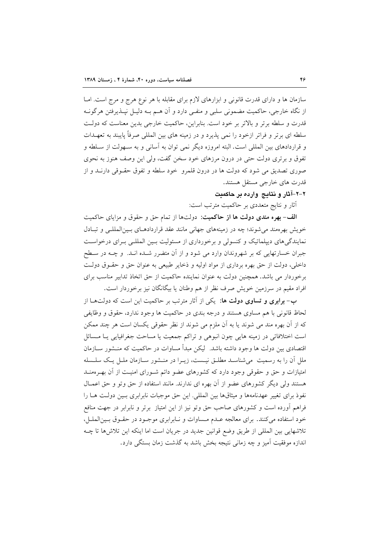سازمان ها و دارای قدرت قانونی و ابزارهای لازم برای مقابله با هر نوع هرج و مرج است. امـا از نگاه خارجی، حاکمیت مضمونی سلبی و منفـی دارد و آن هــم بــه دلیــل نپــذیرفتن هرگونــه قدرت و سلطه برتر و بالاتر بر خود است. بنابراین، حاکمیت خارجی بدین معناست که دولت سلطه ای برتر و فراتر ازخود را نمی پذیرد و در زمینه های بین المللی صرفاً پایبند به تعهـدات و قراردادهای بین المللی است. البته امروزه دیگر نمی توان به آسانی و به سـهولت از سـلطه و تفوق و برتری دولت حتی در درون مرزهای خود سخن گفت، ولی این وصف هنوز به نحوی صوری تصدیق می شود که دولت ها در درون قلمرو خود سلطه و تفوق حقـوقی دارنــد و از قدرت هاي خارجي مستقل هستند.

۲-۲-آثار و نتایج وارده بر حاکمیت

أثار و نتايج متعددي بر حاكميت مترتب است:

**الف- بهره مندی دولت ها از حاکمیت**: دولتها از تمام حق و حقوق و مزایای حاکمیت خویش بهرهمند می شوند؛ چه در زمینههای جهانی مانند عقد قراردادهای بسین المللبی و تبادل نمایندگی های دیپلماتیک و کنسولی و برخورداری از مسئولیت بـین المللـی بـرای درخواسـت جبران خسارتهایی که بر شهروندان وارد می شود و از آن متضرر شـده انـد. و چـه در سـطح داخلی، دولت از حق بهره برداری از مواد اولیه و ذخایر طبیعی به عنوان حق و حقـوق دولـت برخوردار می باشد. همچنین دولت به عنوان نماینده حاکمیت از حق اتخاذ تدابیر مناسب برای افراد مقیم در سرزمین خویش صرف نظر از هم وطنان یا بیگانگان نیز برخوردار است.

ب-برابری و تساوی دولت ها: یکی از آثار مترتب بر حاکمیت این است که دولتها از لحاظ قانونی با هم مساوی هستند و درجه بندی در حاکمیت ها وجود ندارد، حقوق و وظایفی که از آن بهره مند می شوند یا به آن ملزم می شوند از نظر حقوقی یکسان است هر چند ممکن است اختلافاتی در زمینه هایی چون انبوهی و تراکم جمعیت یا مساحت جغرافیایی یـا مـسائل اقتصادی بین دولت ها وجود داشته باشد. لیکن مبدأ مساوات در حاکمیت که منــشور ســازمان ملل آن را به رسمیت میشناسـد مطلـق نیـست، زیـرا در منـشور سـازمان ملـل یـک سلـسله امتیازات و حق و حقوقی وجود دارد که کشورهای عضو دائم شـورای امنیـت از آن بهـرهمنــد هستند ولي ديگر كشورهاي عضو از آن بهره اي ندارند. مانند استفاده از حق وتو و حق اعمــال نفوذ برای تغییر عهدنامهها و میثاقها بین المللی. این حق موجبات نابرابری بـین دولـت هـا را فراهم أورده است و كشورهاى صاحب حق وتو نيز از اين امتياز برتر و نابرابر در جهت منافع خود استفاده می کنند. برای معالجه عـدم مـساوات و نـابرابری موجـود در حقـوق بـین الملـل، تلاشهایی بین المللی از طریق وضع قوانین جدید در جریان است اما اینکه این تلاش ها تا چــه اندازه موفقیت آمیز و چه زمانی نتیجه بخش باشد به گذشت زمان بستگی دارد.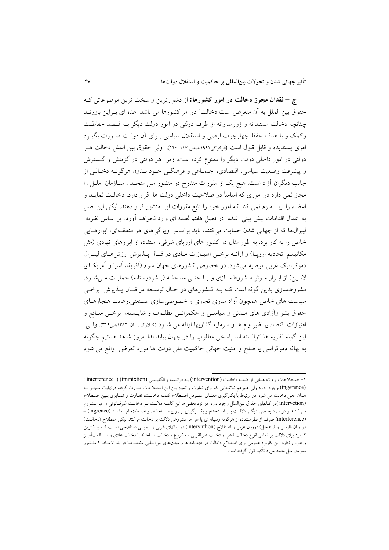ج - فقدان مجوز دخالت در امور كشورها: از دشوارترين و سخت ترين موضوعاتي ك حقوق بین الملل به آن متعرض است دخالت ٰ در امر کشورها می باشد. عده ای بـراین باورنــد چنانچه دخالت مستبدانه و زورمدارانه از طرف دولتی در امور دولت دیگر بـه قـصد حفاظـت وکمک و با هدف حفظ چهارچوب ارضی و استقلال سیاسی بـرای آن دولـت صـورت بگیـرد امري يسنديده و قابل قبول است (الركرايي١٩٩١،صص١٧٠،١١٧). ولي حقوق بين الملل دخالت هــر دولتی در امور داخلی دولت دیگر را ممنوع کرده است، زیرا ً هر دولتی در گزینش و گسترش و پیشرفت وضعیت سیاسی، اقتصادی، اجتمـاعی و فرهنگــی خــود بــدون هرگونــه دخــالتی از جانب دیگران آزاد است. هیچ یک از مقررات مندرج در منشور ملل متحـد ، ســازمان ً ملــل را مجاز نمی دارد در اموری که اساساً در صلاحیت داخلی دولت ها قرار دارد، دخالـت نمایــد و اعضاء را نیز ملزم نمی کند که امور خود را تابع مقررات این منشور قرار دهند. لیکن این اصل به اعمال اقدامات پیش بینی شده در فصل هفتم لطمه ای وارد نخواهد آورد. بر اساس نظریه لیبرالها که از جهانی شدن حمایت میکنند، باید براساس ویژگیهای هر منطقهای، ابزارهـایی خاص را به کار برد. به طور مثال در کشور های اروپای شرقی، استفاده از ابزارهای نهادی (مثل مکانیسم اتحادیه اروپـ)) و ارائــه برخـی امتیـازات مـادی در قبـال پــذیرش ارزش۵حـای لیبـرال دموکراتیک غربی توصیه می شود. در خصوص کشورهای جهان سوم (اَفریقا، اَسیا و اَمریکـای لاتين) از ابزار موثر مشروطسازي و يا حتى مداخله (بشردوستانه) حمايت مى شود. مشروطسازی بدین گونه است کـه بـه کـشورهای در حـال توسـعه در قبـال پــذیرش برخــی سیاست های خاص همچون آزاد سازی تجاری و خصوصی سازی صنعتی،رعایت هنجارهـای حقوق بشر وأزادي هاي مـدنى و سياسـي و حكمرانـي مطلـوب و شايـسته، برخـي منـافع و امتیازات اقتصادی نظیر وام ها و سرمایه گذاریها ارائه می شـود (کلاری ،یـان ،۱۳۸۲،ص۳۱۹). ولـی این گونه نظریه ها نتوانسته اند پاسخی مطلوب را در جهان بیابد لذا امروز شاهد هستیم چگونه به بهانه دموکراسی یا صلح و امنیت جهانی حاکمیت ملی دولت ها مورد تعرض واقع می شود

۱-اصطلاحات و واژه هـایی از کلمـه دخالـت (intervention) بـه فرانـسه و انگليـسی (imterference ) (immixtion) (ingerence) وجود دارد ولی علیرغم تلاشهایی که برای تفاوت و تمییز بین این اصطلاحات صورت گرفته درنهایت منجـر بــه همان معنی دخالت می شود. در ارتباط با بکارگیری معنـای عمـومی اصـطلاح کلمـه دخالـت، تفـاوت و تمـایزی بـین اصـطلاح (intervetion )در کتابهای حقوق بینالملل وجود دارد، در نزد بعضیها این کلمـه دلالـت بـر دخالـت غیرقـانونی و غیرمـشروع می کنـد و در نـزد بعـضي ديگـر دلالـت بـر اسـتخدام و بکـارگيري نيـروي مـسلحانه . و اصـطلاحاتي ماننـد (ingrence) -(interference) صرف از نظراستفاده از هرگونه وسیله ای یا هر امر مشروعی دلالت بر دخالت می کند. لیکن اصطلاح (دخالت) در زبان فارسی و (التدخل) درزبان عربی و اصطلاح (intervnthon) در زبانهای غربی و اروپایی صطلاحی است کـه بیـشترین کاربرد برای دلالت بر تمامی انواع دخالت (اعم از دخالت غیرقانونی و مشروع و دخالت مسلحانه یا دخالت عادی و مــسالمتآمیـز و غیره را)دارد. این کاربرد عمومی برای اصطلاح دخالت در عهدنامه ها و میثاقهای بینالمللی مخصوصاً در بند ۷ مـاده ۲ منـشور سازمان ملل متحد مورد تأكيد قرار گرفته است.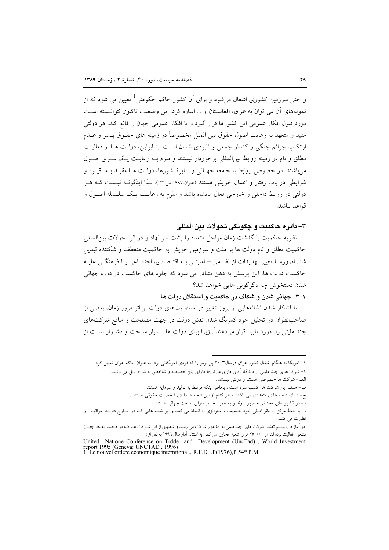و حتی سرزمین کشوری اشغال می شود و برای آن کشور حاکم حکومتی <sup>1</sup> تعیین می شود که از نمونههای آن می توان به عراق، افغانستان و ... اشاره کرد. این وضعیت تاکنون نتوانسته است مورد قبول افکار عمومی این کشورها قرار گیرد و یا افکار عمومی جهان را قانع کند. هر دولتی مقيد و متعهد به رعايت اصول حقوق بين الملل مخصوصاً در زمينه هاي حقــوق بــشر و عــدم ارتکاب جرائم جنگی و کشتار جمعی و نابودی انسان است. بنـابراین، دولـت هـا از فعالیـت مطلق و تام در زمینه روابط بین|لمللی برخوردار نیستند و ملزم بـه رعایـت یـک سـری اصـول می باشند. در خصوص روابط با جامعه جهـانی و سایرکـشورها، دولـت هــا مقیــد بــه قیــود و شرایطی در باب رفتار و اعمال خویش هستند (علوان،۱۹۹۷،ص۱۳۱). لـذا اینگونــه نیــست کــه هــر دولتی در روابط داخلی و خارجی فعال مایشاء باشد و ملزم به رعایـت یـک سلـسله اصـول و قواعد نباشد.

## ٣- دابر ه حاكميت و چگو نگي تحو لات بين المللي

نظریه حاکمیت با گذشت زمان مراحل متعدد را یشت سر نهاد و در اثر تحولات بین|لمللی حاکمیت مطلق و تام دولت ها بر ملت و سرزمین خویش به حاکمیت منعطف و شکننده تبدیل شد. امروزه با تغییر تھدیدات از نظـامی –امنیتـی بـه اقتـصادی، اجتمــاعی پــا فرهنگــی علیــه حاکمیت دولت ها، این پرسش به ذهن متبادر می شود که جلوه های حاکمیت در دوره جهانی شدن دستخوش چه دگر گونی هایی خواهد شد؟

#### ١-٣- جهاني شدن و شكاف در حاكمدت و استقلال دولت ها

با آشکار شدن نشانههایی از بروز تغییر در مسئولیتهای دولت بر اثر مرور زمان، بعضی از صاحب نظران در تحلیل خود کمرنگ شدن نقش دولت در جهت مصلحت و منافع شرکتهای چند ملیتی را ً مورد تایید قرار میدهند'ً. زیرا برای دولت ها بــسیار سـخت و دشــوار اســت از

۱- اَمریکا به هنگام اشغال کشور عراق درسال۲۰۰۳ پل برمر را که فردی اَمریکائی بود به عنوان حاکم عراق تعیین کرد. ۱– شرکتهای چند ملیتی از دیدگاه آقای ماری مارتان\* دارای پنج خصیصه و شاخص به شرح ذیل می باشند: الف- شرکت ها خصوصی هستند و دولتی نیستند .

ب- هدف این شرکت ها کسب سود است ، بخاطر اینکه مرتبط به تولید و سرمایه هستند .

ج- دارای شعبه ها ی متعددی می باشند و هر کدام از این شعبه ها دارای شخصیت حقوقی هستند .

د- در کشور های مختلفی حضور دارند و به همین خاطر دارای صنعت جهانی هستند .

ه- با حفظ مرکز یا مقر اصلی خود تصمیمات استراتژی را اتخاذ می کنند و بر شعبه هایی کـه در خـارج دارنـد مراقبـت و نظارت می کنند .

در آغاز قرن بیستم تعداد شرکت های چند ملیتی به ٤٠ هزار شرکت می رسید و شعبهای از این شـرکت هـاکـه در اقـصاء نقـاط جهـان مشغول فعالیت بوده اند از ۲۵۰۰۰۰ هزار شعبه تجاوز می کند . به استناد آمار سال ۱۹۹۲ به نقل از :

United Natione Conference on Trdde and Development (UncTad), World Investment report 1995 (Geneva: UNCTAD, 1996) 1. Le nouvel ordere economique interntional., R.F.D.I.P(1976),P.54\* P.M.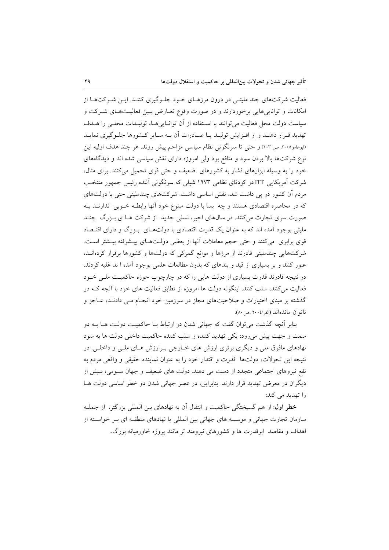فعالیت شرکتهای چند ملیتـی در درون مرزهـای خـود جلـوگیری کننـد. ایـن شـرکتهـا از امکانات و تواناییهایی برخوردارند و در صورت وقوع تعـارض بـین فعالیـتهـای شـرکت و سیاست دولت محل فعالیت می توانند با استفاده از آن توانایی هـا، تولیـدات محلـی را هـدف تهدید قـرار دهنـد و از افـزایش تولیـد یـا صـادرات آن بـه سـایر کـشورها جلـوگیری نمایـد (ابوعامو٢٠٠٥، ص ٢٠٣) و حتى تا سرنگونى نظام سياسى مزاحم پيش روند. هر چند هدف اوليه اين نوع شرکتها بالا بردن سود و منافع بود ولی امروزه دارای نقش سیاسی شده اند و دیدگاههای خود را به وسیله ابزارهای فشار به کشورهای ضعیف و حتی قوی تحمیل میکنند. برای مثال، شرکت آمریکایی ITTدر کودتای نظامی ۱۹۷۳ شیلی که سرنگونی آلنده رئیس جمهور منتخب مردم آن کشور در پی داشت شد، نقش اساسی داشت. شرکتهای چندملیتی حتی با دولتهای که در محاصره اقتصادی هستند و چه بسا با دولت مبتوع خود آنها رابطـه خــوبی ندارنــد بــه صورت سری تجارت میکنند. در سال های اخیر، نسلی جدید از شرکت هـا ی بـزرگ چنـد ملیتی بوجود آمده اند که به عنوان یک قدرت اقتصادی با دولتهـای بـزرگ و دارای اقتـصاد قوی برابری میکنند و حتی حجم معاملات آنها از بعضی دولـتهـای پیـشرفته بیـشتر اسـت. شرکتهایی چندملیتی قادرند از مرزها و موانع گمرکی که دولتها و کشورها برقرار کردهانـد، عبور کنند و بر بسیاری از قید و بندهای که بدون مطالعات علمی بوجود آمده ا ند غلبه کردند. در نتیجه قادرند قدرت بسیاری از دولت هایی را که در چارچوب حوزه حاکمیت ملبی خــود فعالیت میکنند، سلب کنند. اینگونه دولت ها امروزه از تطابق فعالیت های خود با آنچه کـه در گذشته بر مبنای اختیارات و صلاحیتهای مجاز در سرزمین خود انجـام مـی دادنـد، عـاجز و ناتوان ماندهاند (الفرا١٠٠٤ مص ٨٠).

بنابر أنچه گذشت میتوان گفت که جهانی شدن در ارتباط بـا حاکمیـت دولـت هــا بــه دو سمت و جهت پیش میرود: یکی تهدید کننده و سلب کننده حاکمیت داخلی دولت ها به سود نهادهای مافوق ملی و دیگری برتری ارزش های خــارجی بــرارزش هــای ملــی و داخلــی. در نتيجه اين تحولات، دولتها قدرت و اقتدار خود را به عنوان نماينده حقيقى و واقعى مردم به نفع نیروهای اجتماعی متجدد از دست می دهند. دولت های ضعیف و جهان سـومی، بـیش از دیگران در معرض تهدید قرار دارند. بنابراین، در عصر جهانی شدن دو خطر اساسی دولت هـا را تھدید می کند:

خطر اول: از هم گسیختگی حاکمیت و انتقال آن به نهادهای بین المللی بزرگتر، از جملـه سازمان تجارت جهانی و موسسه های جهانی بین المللی یا نهادهای منطقـه ای بـر خواسـته از اهداف و مقاصد ابرقدرت ها و کشورهای نیرومند تر مانند پروژه خاورمیانه بزرگ.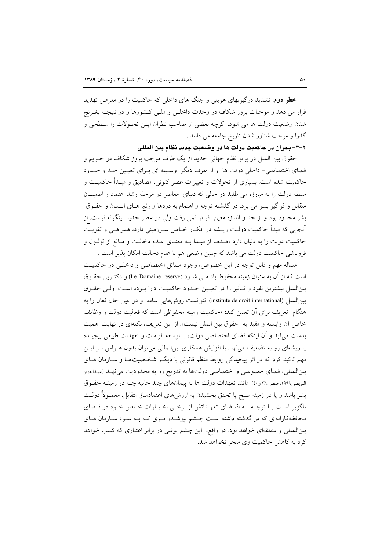**خطر دوم**: تشدید درگیریهای هویتی و جنگ های داخلی که حاکمیت را در معرض تهدید قرار می دهد و موجبات بروز شکاف در وحدت داخلـی و ملـی کـشورها و در نتیجــه بغــرنج شدن وضعیت دولت ها می شود. اگرچه بعضی از صاحب نظران ایـن تحـولات را سـطحی و گذرا و موجب شناور شدن تاریخ جامعه می دانند .

٢-٣- بحران در حاكميت دولت ها در وضعيت جديد نظام بين المللي

حقوق بین الملل در پرتو نظام جهانی جدید از یک طرف موجب بروز شکاف در حـریم و فضای اختصاصی- داخلی دولت ها و از طرف دیگر وسیله ای بـرای تعیـین حـد و حـدود حاکمیت شده است. بسیاری از تحولات و تغییرات عصر کنونی، مصادیق و مبـدأ حاکمیـت و سلطه دولت را به مبارزه می طلبد در حالی که دنیای معاصر در مرحله رشد اعتماد و اطمینان متقابل و فراگیر بسر می برد. در گذشته توجه و اهتمام به دردها و رنج هـای انـسان و حقـوق بشر محدود بود و از حد و اندازه معین ً فراتر نمی رفت ولی در عصر جدید اینگونه نیست. از آنجای<sub>ه،</sub> که مبدأ حاکمیت دولـت ریــشه در افکـار خــاص ســرزمینی دارد، همراهــی و تقویــت حاکمیت دولت را به دنبال دارد ،هـدف از مبـدا بـه معنـای عـدم دخالـت و مـانع از تزلـزل و فروپاشی حاکمیت دولت می باشد که چنین وضعی هم با عدم دخالت امکان پذیر است .

مساله مهم و قابل توجه در این خصوص، وجود مسائل اختصاصی و داخلـی در حاکمیـت است كه از آن به عنوان زمينه محفوظ ياد مـي شـود (Le Domaine reserve) و دكتـرين حقـوق بینالملل بیشترین نفوذ و تـأثیر را در تعیـین حـدود حاکمیـت دارا بــوده اسـت. ولــی حقــوق بين الملل (institute de droit international) نتوانست روش هايي ساده و در عين حال فعال را به هنگام تعریف برای آن تعیین کند: «حاکمیت زمینه محفوظی است که فعالیت دولت و وظایف خاص آن وابسته و مقيد به حقوق بين الملل نيست». از اين تعريف، نكتهاي در نهايت اهميت بدست مي آيد و آن اينكه فضاى اختصاصي دولت، با توسعه الزامات و تعهدات طبيعي پيچيــده یا ریشهای رو به تضعیف می نهد. با افزایش همکاری بینالمللی می توان بدون هـراس بـر ایـن مهم تاکید کرد که در اثر پیچیدگی روابط منظم قانونی با دیگـر شخـصیتهـا و ســازمان هــای بين|لمللي، فضاي خصوصي و اختصاصي دولتها به تدريج رو به محدوديت مي نهـد (عبدالعزيز النویضی۱۹۹۹، صص۳۸۰ و ٤٠) مانند تعهدات دولت ها به پیمانهای چند جانبه چــه در زمینــه حقــوق بشر باشد و یا در زمینه صلح یا تحقق بخشیدن به ارزشهای اعتمادساز متقابل. معمـولاً دولـت ناگزیر است با توجـه بـه اقتـضای تعهـداتش از برخـی اختیـارات خـاص خـود در فـضای محافظهکارانهای که در گذشته داشته است چـشم بیوشـد، امـری کـه بـه سـود سـازمان هـای بینالمللی و منطقهای خواهد بود. در واقع، این چشم پوشی در برابر اعتباری که کسب خواهد کرد به کاهش حاکمیت وی منجر نخواهد شد.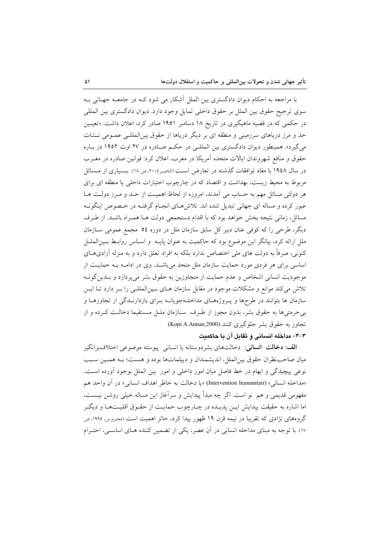با مراجعه به احکام دیوان دادگستری بین الملل آشکار می شود کـه در جامعـه جهـانی بـه سوى ترجيح حقوق بين الملل بر حقوق داخلي تمايل وجود دارد. ديوان دادگسترى بين المللي در حکمی که در قضیه ماهیگیری در تاریخ ۱۸ دسامبر ۱۹۵۱ صادر کرد، اعلان داشت: «تعیـین حد و مرز دریاهای سرزمینی و منطقه ای بر دیگر دریاها از حقوق بین المللـی عمـومی نـشات می گیرد». همینطور دیوان دادگستری بین المللے در حکم صادره در ۲۷ اوت ۱۹۵۲ در باره حقوق و منافع شهروندان ایالات متحده آمریکا در مغرب، اعلان کرد: قوانین صادره در مغـرب در سال ۱۹٤۸ با مفاد توافقات گذشته در تعارض است (الناصر ۲۰۰٤، ص ۱۸). بـسیاری از مـسائل مربوط به محیط زیست، بهداشت و اقتصاد که در چارچوب اختیارات داخلی یا منطقه ای برای هر دولتی مسائل مهم به حساب می آمدند، امروزه از لحاظ اهمیت از حـد و مـرز دولـت هـا عبور کرده و مساله ای جهانی تبدیل شده اند. تلاش هـای انجـام گرفتـه در خـصوص اینگونـه مسائل، زمانی نتیجه بخش خواهد بود که با اقدام دستجمعی دولت هـا همـراه باشـد. از طـرف دیگر، طرحی را که کوفی عنان دبیر کل سابق سازمان ملل در دوره ٥٤ مجمع عمومی ســازمان ملل ارائه کرد، بیانگر این موضوع بود که حاکمیت به عنوان پایــه و اســاس روابـط بــینالملــل کنونی، صرفاً به دولت های ملی اختصاص ندارد بلکه به افراد تعلق دارد و به منزله آزادیهـای اساسی برای هر فردی مورد حمایت سازمان ملل متحد میباشد. وی در ادامـه بـه حمایـت از موجودیت انسانی اشخاص و عدم حمایت از متجاوزین به حقوق بشر می پردازد و بـدین گونــه تلاش می کند موانع و مشکلات موجود در مقابل سازمان هـای بـینالمللـی را بـر دارد تـا ایـن سازمان ها بتوانند در طرحها و پـروژههـای مداخلـهجویانـه بـرای بازدارنـدگی از تجاوزهـا و بی حرمتی ها به حقوق بشر، بدون مجوز از طـرف ً سـازمان ملـل مـستقیما دخالـت كـرده و از تجاوز به حقوق بشر جلوگیری کنند.(Kopi A.Annan,2000)

## ٣-٣- مداخله انساني و تقابل آن با حاكميت

**الف: دخالت انسانی**: دخالتهای بشردوستانه یا انسانی پیوسته موضوعی اختلافبرانگیز میان صاحب نظران حقوق بین|لملل، اندیشمندان و دیپلماتها بوده و هـست؛ بـه همـین سـبب نوعي پيچيدگي و ابهام در خط فاصل ميان امور داخلي و امور بين الملل بوجود آورده است. «مداخله انساني» (Intervention humanitair) «يا دخالت به خاطر اهداف انساني» در آن واحد هم مفهومی قدیمی و هم ً نو است. اگر چه مبدأ پیدایش و سرآغاز این مساله خیلی روشن نیــست، اما اشاره به حقیقت پیدایش ایـن پدیـده در چـارچوب حمایـت از حقـوق اقلیـتهـا و دیگـر گروههای نژادی که تقریبا در نیمه قرن ۱۹ ظهور پیدا کرد، حائز اهمیت است (محـروس، ۱۹۹۰، ص ١٧). با توجه به مبناي مداخله انساني در آن عصر، يكي از تضمين كننده هــاي اساســي، احتــرام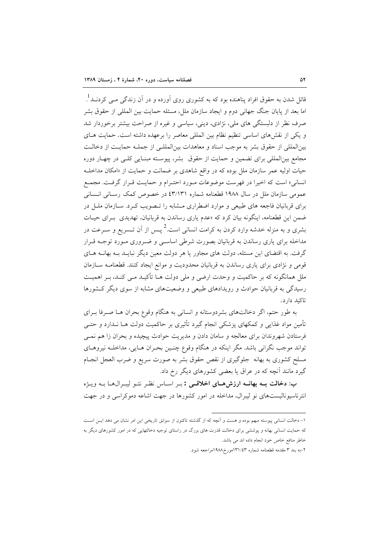قائل شدن به حقوق افراد پناهنده بود که به کشوری روی آورده و در آن زندگی مــی کردنــد<sup>1</sup>. اما بعد از پایان جنگ جهانی دوم و ایجاد سازمان ملل، مسئله حمایت بین المللی از حقوق بشر صرف نظر از دلبستگی های ملی، نژادی، دینی، سیاسی و غیره از صراحت بیشتر برخوردار شد و یکی از نقشهای اساسی تنظیم نظام بین المللی معاصر را برعهده داشته است. حمایت هـای بين|لمللي از حقوق بشر به موجب اسناد و معاهدات بين|لمللـي از جملـه حمايـت از دخالـت مجامع بینالمللی برای تضمین و حمایت از حقوق بشر، پیوسته مبنـایی کلـی در چهـار دوره حیات اولیه عمر سازمان ملل بوده که در واقع شاهدی بر ضمانت و حمایت از «امکان مداخلـه انسانی» است که اخیرا در فهرست موضوعات مـورد احتـرام و حمایـت قـرار گرفـت. مجمـع عمومی سازمان ملل در سال ۱۹۸۸ قطعنامه شماره ٤٣/١٣١ در خصوص کمک رسانی انسانی برای قربانیان فاجعه های طبیعی و موارد اضطراری مـشابه را تـصویب کـرد. سـازمان ملـل در ضمن این قطعنامه، اینگونه بیان کرد که «عدم یاری رساندن به قربانیان، تهدیدی بهرای حیـات بشری و به منزله خدشه وارد کردن به کرامت انسانی است.<sup>2</sup> پــس از آن تــسریع و ســرعت در مداخله برای یاری رساندن به قربانیان بصورت شرطی اساسی و ضروری مورد توجـه قـرار گرفت. به اقتضای این مسئله، دولت های مجاور یا هر دولت معین دیگر نبایــد بــه بهانــه هــای قومی و نژادی برای یاری رساندن به قربانیان محدودیت و موانع ایجاد کنند. قطعنامـه سـازمان ملل همانگونه که بر حاکمیت و وحدت ارضی و ملی دولت هـا تأکیـد مـی کنـد، بـر اهمیـت رسیدگی به قربانیان حوادث و رویدادهای طبیعی و وضعیتهای مشابه از سوی دیگر کشورها تاکید دار د.

به طور حتم، اگر دخالتهای بشردوستانه و انسانی به هنگام وقوع بحران هــا صـرفا بــرای تأمین مواد غذایی و کمکهای پزشکی انجام گیرد تأثیری بر حاکمیت دولت هــا نــدارد و حتــی فرستادن شهروندان برای معالجه و سامان دادن و مدیریت حوادث پیچیده و بحران زا هم نمــی تواند موجب نگرانی باشد. مگر اینکه در هنگام وقوع چنـین بحـران هـایی، مداخلــه نیروهـای مسلح کشوری به بهانه جلوگیری از نقص حقوق بشر به صورت سریع و ضرب العجل انجـام گیرد مانند آنچه که در عراق یا بعضی کشورهای دیگر رخ داد.

ب: دخالت به بهانــه ارزش هـاى اخلاقــى : بـر اسـاس نظـر نئـو ليبـرالهـا بـه ويـژه انترناسیونالیستهای نو لیبرال، مداخله در امور کشورها در جهت اشاعه دموکراسی و در جهت

۱- دخالت انسانی پیوسته مبهم بوده و هست و آنچه که از گذشته تاکنون از سوابق تاریخی این امر نشان می دهد ایـن اسـت که حمایت انسانی بهانه و پوششی برای دخالت قدرت های بزرگ در راستای توجیه دخالتهایی که در امور کشورهای دیگر به خاطر منافع خاص خود انجام داده اند می باشد.

۲–به بند ۳ مقدمه قطعنامه شماره ۱۳۱/٤۳مورخ۱۹۸۸مراجعه شود.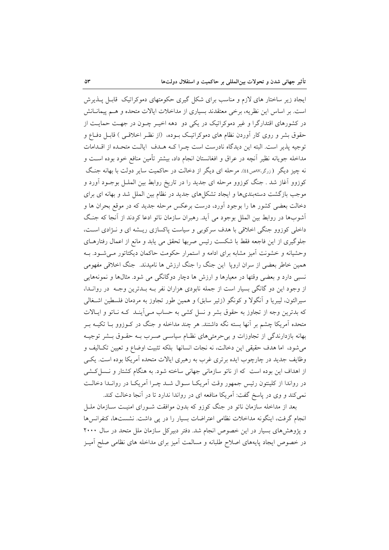ایجاد زیر ساختار های لازم و مناسب برای شکل گیری حکومتهای دموکراتیک قابـل پــذیرش است. بر اساس این نظریه، برخی معتقدند بسیاری از مداخلات ایالات متحده و هـم پیمانـانش در کشورهای اقتدارگرا و غیر دموکراتیک در یکی دو دهه اخیـر چــون در جهـت حمایــت از حقوق بشر و روی کار آوردن نظام های دموکراتیک بـوده، (از نظـر اخلاقـبی ) قابـل دفـاع و توجيه يذير است. البته اين ديدگاه نادرست است چـرا كـه هـدف |يالـت متحـده از اقــدامات مداخله جویانه نظیر آنچه در عراق و افغانستان انجام داد، بیشتر تأمین منافع خود بوده اسـت و نه چیز دیگر (زرگر،۷۷ص۱۶). مرحله ای دیگر از دخالت در حاکمیت سایر دولت با بهانه جنگ کوزوو آغاز شد . جنگ کوزوو مرحله ای جدید را در تاریخ روابط بین الملــل بوجــود آورد و موجب بازگشت دستهبندیها و ایجاد تشکلهای جدید در نظام بین الملل شد و بهانه ای برای دخالت بعضی کشور ها را بوجود آورد، درست برعکس مرحله جدید که در موقع بحران ها و آشوبها در روابط بین الملل بوجود می آید. رهبران سازمان ناتو ادعا کردند از آنجا که جنگ داخلی کوزوو جنگی اخلاقی با هدف سرکوبی و سیاست پاکسازی ریشه ای و نـژادی اسـت، جلوگیری از این فاجعه فقط با شکست رئیس صربها تحقق می یابد و مانع از اعمال رفتارهای وحشیانه و خشونت آمیز مشابه برای ادامه و استمرار حکومت حاکمان دیکتاتور می شـود. بـه همین خاطر بعضی از سران اروپا این جنگ را جنگ ارزش ها نامیدند. جنگ اخلاقی مفهومی نسبی دارد و بعضی وقتها در معیارها و ارزش ها دچار دوگانگی می شود. مثالها و نمونههایی از وجود این دو گانگی بسیار است از جمله نابودی هزاران نفر بـه بـدترین وجـه در روانـدا، سیرالئون، لیبریا و اَنگولا و کونگو (زئیر سابق) و همین طور تجاوز به مردمان فلسطین اشـغالی که بدترین وجه از تجاوز به حقوق بشر و نسل کشی به حساب مـی اَینـد کـه نـاتو و ایـالات متحده آمریکا چشم بر آنها بسته نگه داشتند. هر چند مداخله و جنگ در کـوزوو بــا تکیــه بــر بهانه بازدارندگی از تجاوزات و بی حرمتیهای نظـام سیاسـی صـرب بـه حقـوق بـشر توجیـه می شود، اما هدف حقیقی این دخالت، نه نجات انسانها بلکه تثبیت اوضاع و تعیین تکـالیف و وظایف جدید در چارچوب ایده برتری غرب به رهبری ایالات متحده آمریکا بوده است. یکـی از اهداف این بوده است که از ناتو سازمانی جهانی ساخته شود. به هنگام کشتار و نـسل کـشی در رواندا از کلینتون رئیس جمهور وقت اَمریکـا سـوال شــد چـرا اَمریکـا در روانــدا دخالــت نمی کند و وی در پاسخ گفت: آمریکا منافعه ای در رواندا ندارد تا در آنجا دخالت کند.

بعد از مداخله سازمان ناتو در جنگ کوزو که بدون موافقت شـورای امنیـت ســازمان ملــل انجام گرفت، اینگونه مداخلات نظامی اعتراضات بسیار را در پی داشت. نشستها، کنفرانسها و پژوهشهای بسیار در این خصوص انجام شد. دفتر دبیرکل سازمان ملل متحد در سال ۲۰۰۰ در خصوص ایجاد پایههای اصلاح طلبانه و مسالمت آمیز برای مداخله های نظامی صلح آمیـز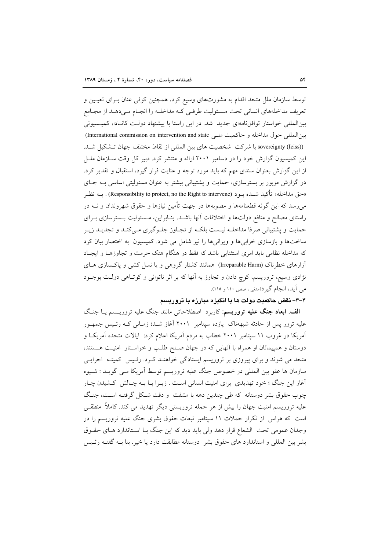توسط سازمان ملل متحد اقدام به مشورتهای وسیع کرد. همچنین کوفی عنان بـرای تعیـین و تعریف مداخلههای انسانی تحت مـسئولیت طرفـی کـه مداخلـه را انجـام مـیدهـد از مجـامع بینالمللی خواستار توافق نامهای جدید شد. در این راستا با پیشنهاد دولت کانادا، کمیسیونی بين المللي حول مداخله و حاكميت ملبي International commission on intervention and state) (sovereignty (Iciss) با شركت شخصيت هاى بين المللي از نقاط مختلف جهان تـشكيل شـد. این کمیسیون گزارش خود را در دسامبر ۲۰۰۱ ارائه و منتشر کرد. دبیر کل وقت سـازمان ملـل از این گزارش بعنوان سندی مهم که باید مورد توجه و عنایت قرار گیرد، استقبال و تقدیر کرد. در گزارش مزبور بر بسترسازی، حمایت و پشتیبانی بیشتر به عنوان مسئولیتی اساسی بـه جـای «حق مداخله» تأكيد شـده بــود (Responsibility to protect, no the Right to intervene) . بــه نظــر می رسد که این گونه قطعنامهها و مصوبهها در جهت تأمین نیازها و حقوق شهروندان و نــه در راستای مصالح و منافع دولتها و اختلافات آنها باشـد. بنـابراین، مـسئولیت بـسترسازی بـرای حمایت و پشتیبانی صرفا مداخلـه نیـست بلکـه از تجـاوز جلـوگیری مـیکنـد و تجدیـد زیـر ساختها و بازسازی خرابیها و ویرانیها را نیز شامل می شود. کمیسیون به اختصار بیان کرد که مداخله نظامی باید امری استثنایی باشد که فقط در هنگام هتک حرمت و تجاوزهـا و ایجـاد آزارهای خطرناک (Irreparable Harm) همانند کشتار گروهی و یا نسل کشی و پاکسازی های نژادی وسیع، تروریسم، کوچ دادن و تجاوز به آنها که بر اثر ناتوانی و کوتـاهی دولـت بوجــود می آید، انجام گیرد(مدنی، صص ۱۱۰ و ۱۱۵).

#### ۴–۳– نقض حاکمیت دولت ها با انگیزه مبارزه با تروریسم

الف. ابعاد جنگ علیه تروریسم: کاربرد اصطلاحاتی مانند جنگ علیه تروریسم یـا جنگ علیه ترور پس از حادثه شبههناک یازده سیتامبر ۲۰۰۱ آغاز شـد؛ زمـانی کـه رئـیس جمهـور آمریکا در غروب ۱۱ سپتامبر ۲۰۰۱ خطاب به مردم آمریکا اعلام کرد: ایالات متحده آمریکـا و دوستان و همپیمانان او همراه با آنهایی که در جهان صـلح طلـب و خواسـتار امنیـت هــستند، متحد می شوند و برای پیروزی بر تروریسم ایستادگی خواهنـد کـرد. رئـیس کمیتـه اجرایـی سازمان ها عفو بین المللی در خصوص جنگ علیه تروریسم توسط آمریکا مـی گویـد : شـیوه آغاز این جنگ ؛ خود تهدیدی برای امنیت انسانی است . زیـرا بـا بـه چـالش کـشیدن چـار چوب حقوق بشر دوستانه که طی چندین دهه با مشقت و دقت شکل گرفتـه اسـت، جنگ علیه تروریسم امنیت جهان را بیش از هر حمله تروریستی دیگر تهدید می کند. کاملاً منطقـی است که هراس از تکرار حملات ۱۱ سیتامبر تبعات حقوق بشری جنگ علیه تروریسم را در وجدان عمومی تحت الشعاع قرار دهد ولی باید دید که این جنگ بـا اسـتاندارد هـای حقـوق بشر بین المللی و استاندارد های حقوق بشر ً دوستانه مطابقت دارد یا خیر. بنا بـه گفتـه رئـیس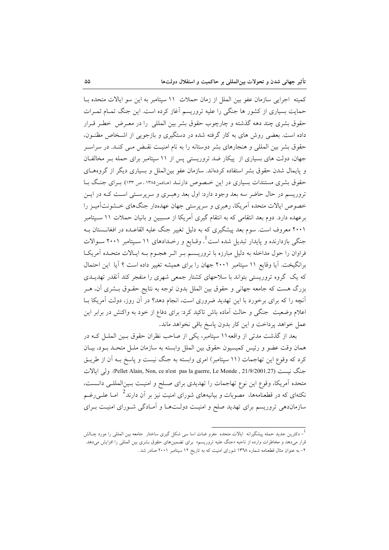كميته اجرايي سازمان عفو بين الملل از زمان حملات ١١ سيتامبر به اين سو ايالات متحده بــا حمایت بسیاری از کشور ها جنگی را علیه تروریسم آغاز کرده است. این جنگ تمـام ثمـرات حقوق بشري چند دهه گذشته و چارچوب حقوق بشر بين المللي را در معـرض خطـر قـرار داده است. بعضی روش های به کار گرفته شده در دستگیری و بازجویی از اشـخاص مظنـون، حقوق بشر بین المللی و هنجارهای بشر دوستانه را به نام امنیت نقـض مـی کنـد. در سراسـر جهان، دولت های بسیاری از پیکار ضد تروریستی پس از ١١ سپتامبر برای حمله بـر مخالفـان و پایمال شدن حقوق بشر استفاده کردهاند. سازمان عفو بین|لملل و بسیاری دیگر از گروههـای حقوق بشری مستندات بسیاری در این خصوص دارنـد (مـافمن١٣٨٥، ص ١٣٣). بـرای جنـگ بـا تروریسم در حال حاضر سه بعد وجود دارد: اول بعد رهبـری و سرپرسـتی اسـت کـه در ایـن خصوص ایالات متحده آمریکا، رهبری و سرپرستی جهان عهدهدار جنگهای خــشونتآمیـز را برعهده دارد. دوم بعد انتقامی که به انتقام گیری آمریکا از مسببین و بانیان حملات ۱۱ سـیتامبر ۲۰۰۱ معروف است. سوم بعد پیشگیری که به دلیل تغییر جنگ علیه القاعـده در افغانــستان بــه جنگی بازدارنده و پایدار تبدیل شده است<sup>1</sup>. وقـایع و رخــدادهای ۱۱ سـیتامبر ۲۰۰۱ ســوالات فراوان را حول مداخله به دلیل مبارزه با تروریـسم بـر اثـر هجـوم بـه ایـالات متحـده آمریکـا برانگیخت. آیا وقایع ١١ سپتامبر ٢٠٠١ جهان را برای همیشه تغییر داده است ؟ آیا این احتمال که یک گروه تروریستی بتواند با سلاحهای کشتار جمعی شهری را منفجر کند آنقدر تهدیــدی بزرگ هست که جامعه جهانی و حقوق بین الملل بدون توجه به نتایج حقـوق بــشری آن، هــر آنچه را که برای برخورد با این تهدید ضروری است، انجام دهد؟ در آن روز، دولت آمریکا بــا اعلام وضعیت جنگی و حالت آماده باش تاکید کرد: برای دفاع از خود به واکنش در برابر این عمل خواهد پرداخت و این کار بدون پاسخ باقی نخواهد ماند.

بعد از گذشت مدتی از واقعه۱۱ سپتامبر، یکی از صاحب نظران حقوق بـین الملــل کــه در همان وقت عضو و رئيس كميسيون حقوق بين الملل وابسته به سازمان ملـل متحـد بـود، بيـان کرد که وقوع این تهاجمات (۱۱ سپتامبر) امری وابسته به جنگ نیست و پاسخ بـه آن از طریــق جنگ نيست (Pellet Alain, Non, ce n'est pas la guerre, Le Monde , 21/9/2001.27). ولي ايالات متحده آمريكا، وقوع اين نوع تهاجمات را تهديدي براي صـلح و امنيـت بـين|لمللـي دانــست، نکتهای که در قطعنامهها، مصوبات و بیانیههای شورای امنیت نیز بر آن دارند<sup>2</sup> امـا علــی(غــم .<br>سازماندهی تروریسم برای تهدید صلح و امنیـت دولــتـهــا و اَمــادگی شــورای امنیــت بــرای

<sup>&</sup>lt;sup>1</sup>– دکترین جدید حمله پیشگیرانه ایالات متحده مفرو ضات اسا سی شکل گیری ساختار جامعه بین المللی را مورد چــالش قرار میدهد و مخاطرات وارده از ناحیه «جنگ علیه تروریسم» برای تضمینهای حقوق بشری بین المللی را افزایش میدهد. ۲– به عنوان مثال قطعنامه شماره ۱۳۷۸ شورای امنیت که به تاریخ ۱۲ سپتامبر ۲۰۰۱ صادر شد .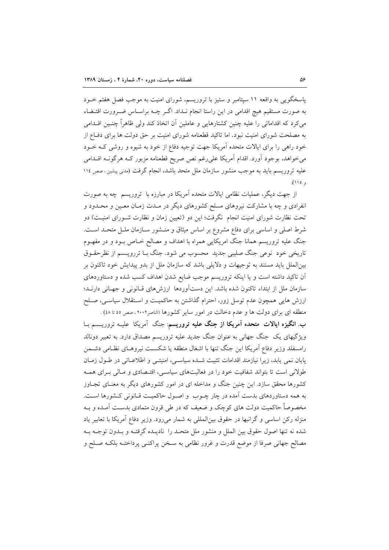پاسخگویی به واقعه ۱۱ سپتامبر و ستیز با تروریسم، شورای امنیت به موجب فصل هفتم خــود به صورت مستقیم هیچ اقدامی در این راستا انجام نـداد. اگـر چــه براسـاس ضـرورت اقتــضاء می کرد که اقداماتی را علیه چنین کشتارهایی و عاملین آن اتخاذ کند ولی ظاهراً چنـین اقــدامی به مصلحت شورای امنیت نبود. اما تاکید قطعنامه شورای امنیت بر حق دولت ها برای دفـاع از خود راهی را برای ایالات متحده آمریکا جهت توجیه دفاع از خود به شیوه و روشی کـه خـود میخواهد، بوجود اَورد. اقدام اَمریکا علیرغم نص صریح قطعنامه مزبور کـه هرگونـه اقــدامی علیه تروریسم باید به موجب منشور سازمان ملل متحد باشد، انجام گرفت (مدنی پیشین ، صص ۱۱٤  $(110, 1)$ 

از جهت دیگر، عملیات نظامی ایالات متحده آمریکا در مبارزه با تروریسم چه به صورت انفرادی و چه با مشارکت نیروهای مسلح کشورهای دیگر در مـدت زمـان معـین و محـدود و تحت نظارت شورای امنیت انجام نگرفت؛ این دو (تعیین زمان و نظارت شـورای امنیـت) دو شرط اصلی و اساسی برای دفاع مشروع بر اساس میثاق و منــشور ســازمان ملــل متحــد اســت. جنگ علیه تروریسم همانا جنگ امریکایی همراه با اهداف و مصالح خـاص بـود و در مفهـوم تاریخی خود نوعی جنگ صلیبی جدید محسوب می شود. جنگ بــا تررویــسم از نظرحقــوق بینالملل باید مستند به توجیهات و دلایلی باشد که سازمان ملل از بدو پیدایش خود تاکنون بر آن تاکید داشته است و یا اینکه تروریسم موجب ضایع شدن اهداف کسب شده و دستاوردهای سازمان ملل از ابتداء تاكنون شده باشد. اين دست آوردها ارزشهاى قبانونى و جهانى دارنيد؛ ارزش هایی همچون عدم توسل زور، احترام گذاشتن به حاکمیـت و اسـتقلال سیاسـی، صـلح منطقه ای برای دولت ها و عدم دخالت در امور سایر کشورها (الناصر۲۰۰۲، صص ٤٥ تا ٤٨) .

ب. انگیزه ایالات متحده آمریکا از جنگ علیه تروریسم: جنگ آمریکا علیـه تروریــسم بــا ویژگیهای یک جنگ جهانی به عنوان جنگ جدید علیه تروریسم مصداق دارد. به تعبیر دونالد رامسفلد وزير دفاع آمريكا اين جنگ تنها با اشغال منطقه يا شكست نيروهـاي نظـامي دشـمن يايان نمي يابد، زيرا نيازمند اقدامات تثبيت شـده سياسـي، امنيتـي و اطلاعـاتي در طـول زمـان طولانی است تا بتواند شفافیت خود را در فعالیتهای سیاسی، اقتـصادی و مـالی بـرای همـه کشورها محقق سازد. این چنین جنگ و مداخله ای در امور کشورهای دیگر به معنـای تجـاوز به همه دستاوردهای بدست آمده در چار چــوب و اصــول حاکمیــت قــانونی کــشورها اســت. مخصوصاً حاکمیت دولت های کوچک و ضعیف که در طی قرون متمادی بدسـت آمـده و بـه منزله رکن اساسی و گرانبها در حقوق بین|لمللی به شمار میرود. وزیر دفاع آمریکا با تعابیر یاد شده نه تنها اصول حقوق بین الملل و منشور ملل متحـد را نادیـده گرفتـه و بـدون توجـه بـه مصالح جهانی صرفا از موضع قدرت و غرور نظامی به سـخن پراکنـی پرداختـه بلکـه صـلح و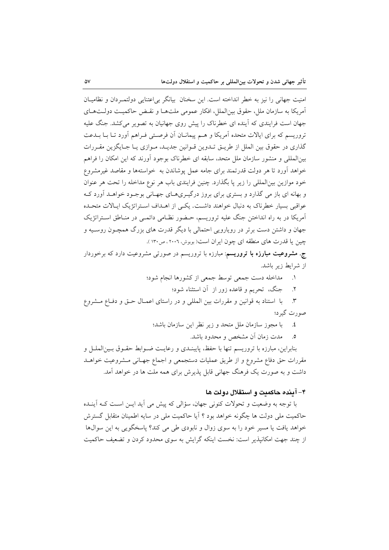امنیت جهانی را نیز به خطر انداخته است. این سخنان بیانگر بی اعتنایی دولتمـردان و نظامیــان آمريكا به سازمان ملل، حقوق بين|لملل، افكار عمومي ملتهـا و نقـض حاكميـت دولـتهـاي جهان است فرایندی که آینده ای خطرناک را پیش روی جهانیان به تصویر میکشد. جنگ علیه تروریسم که برای ایالات متحده آمریکا و هـم پیمانـان آن فرصـتی فـراهم آورد تـا بــا بــدعت گذاری در حقوق بین الملل از طریــق تــدوین قــوانین جدیــد، مــوازی یــا جــایگزین مقــررات بین|لمللی و منشور سازمان ملل متحد، سابقه ای خطرناک بوجود آورند که این امکان را فراهم خواهد آورد تا هر دولت قدرتمند برای جامه عمل یوشاندن به خواستهها و مقاصد غیرمشروع خود موازين بين|لمللي را زير يا بگذارد. چنين فرايندي باب هر نوع مداخله را تحت هر عنوان و بهانه ای باز می گذارد و بستری برای بروز درگیـریهـای جهـانی بوجـود خواهـد آورد کـه عواقبی بسیار خطرناک به دنبال خواهند داشت. یکسی از اهــداف اسـتراتژیک ایــالات متحــده آمریکا در به راه انداختن جنگ علیه تروریسم، حـضور نظـامی دائمـی در منـاطق اسـتراتژیک جهان و داشتن دست برتر در رویارویی احتمالی با دیگر قدرت های بزرگ همچـون روسـیه و چین یا قدرت های منطقه ای چون ایران است( بوبوش، ۲۰۰۲ ، ص۱۳۰).

ج. مشروعیت مبارزه با تروریسم: مبارزه با تروریسم در صورتی مشروعیت دارد که برخوردار از شرایط زیر باشد.

- ١. مداخله دست جمعي توسط جمعي از كشورها انجام شود؛
	- ٢. جنگ، تحريم و قاعده زور از آن استثناء شود؛

٣. با استناد به قوانین و مقررات بین المللی و در راستای اعمـال حـق و دفـاع مـشروع صورت گیرد؛

> با مجوز سازمان ملل متحد و زیر نظر این سازمان باشد؛  $\cdot$ .

> > مدت زمان أن مشخص و محدود باشد.  $\circ$

بنابراین، مبارزه با تروریسم تنها با حفظ، پایبنـدی و رعایـت ضـوابط حقـوق بـینالملـل و مقررات حق دفاع مشروع و از طريق عمليات دستجمعي و اجماع جهـاني مـشروعيت خواهــد داشت و به صورت یک فرهنگ جهانی قابل پذیرش برای همه ملت ها در خواهد آمد.

## ۴– آینده حاکمیت و استقلال دولت ها

با توجه به وضعیت و تحولات کنونی جهان، سؤالی که پیش می آید ایــن اســت کــه آینــده حاکمیت ملی دولت ها چگونه خواهد بود ؟ آیا حاکمیت ملی در سایه اطمینان متقابل گسترش خواهد یافت یا مسیر خود را به سوی زوال و نابودی طی می کند؟ پاسخگویی به این سوالها از چند جهت امکانپذیر است: نخست اینکه گرایش به سوی محدود کردن و تضعیف حاکمیت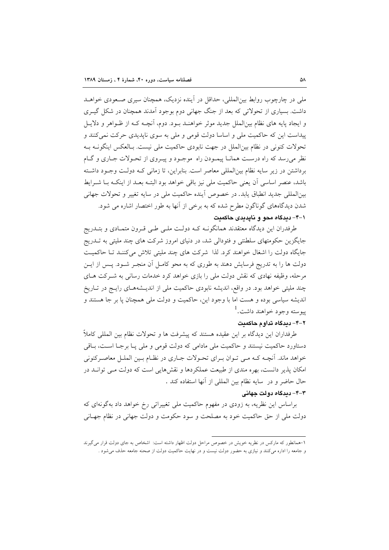ملي در چارچوب روابط بين|لمللي، حداقل در آينده نزديک، همچنان سيږي صـعودي خواهــد داشت. بسیاری از تحولاتی که بعد از جنگ جهانی دوم بوجود آمدند همچنان در شکل گیـری و ایجاد پایه های نظام بین|لملل جدید موثر خواهنـد بـود. دوم، آنچـه کـه از ظـواهر و دلایـل پیداست این که حاکمیت ملی و اساسا دولت قومی و ملی به سوی نایدیدی حرکت نمی کنند و تحولات كنوني در نظام بين|لملل در جهت نابودي حاكميت ملي نيست. بـالعكس اينگونــه بــه نظر میرسد که راه درست همانا پیمودن راه موجـود و پیـروی از تحـولات جـاری و گـام برداشتن در زیر سایه نظام بین المللی معاصر است. بنابراین، تا زمانی کـه دولـت وجـود داشـته باشد، عنصر اساسی اّن یعنی حاکمیت ملی نیز باقی خواهد بود البتـه بعـد از اینکــه بــا شــرایط بينالمللي جديد انطباق يابد. در خصوص آينده حاكميت ملي در سايه تغيير و تحولات جهاني شدن دیدگاههای گوناگون مطرح شده که به برخی از آنها به طور اختصار اشاره می شود.

# ۰۱–۴ دیدگاه محو و نایدیدی حاکمیت

طرفدران این دیدگاه معتقدند همانگونـه کـه دولـت ملـی طـی قـرون متمـادی و بتــدریج جایگزین حکومتهای سلطنتی و فئودالی شد، در دنیای امروز شرکت های چند ملیتی به تــدریج جایگاه دولت را اشغال خواهند کرد. لذا شرکت های چند ملیتی تلاش میکنند تـا حاکمیـت دولت ها را به تدریج فرسایش دهند به طوری که به محو کامـل آن منجـر شـود. پـس از ایـن مرحله، وظیفه نهادی که نقش دولت ملی را بازی خواهد کرد خدمات رسانی به شـرکت هــای چند ملیتی خواهد بود. در واقع، اندیشه نابودی حاکمیت ملی از اندیـشههـای رایـج در تـاریخ انديشه سياسي بوده و هست اما با وجود اين، حاكميت و دولت ملي همچنان يا بر جا هستند و پيوسته وجود خواهند داشت.<sup>1</sup>

#### ۲–۴– دیدگاه تداوم حاکمیت

طرفداران این دیدگاه بر این عقیده هستند که پیشرفت ها و تحولات نظام بین المللی کاملاً دستاورد حاکمیت نیستند و حاکمیت ملی مادامی که دولت قومی و ملی یـا برجـا اسـت، بـاقی خواهد ماند. آنچـه کـه مـي تـوان بـراي تحـولات جـاري در نظـام بـين الملـل معاصـرکنوني امکان پذیر دانست، بهره مندی از طبیعت عملکردها و نقشهایی است که دولت مـی توانــد در حال حاضر و در سايه نظام بين المللي از آنها استفاده كند .

### ۴-۴- دیدگاه دولت جهانی

براساس این نظریه، به زودی در مفهوم حاکمیت ملی تغییراتی رخ خواهد داد بهگونهای که دولت ملي از حق حاكميت خود به مصلحت و سود حكومت و دولت جهاني در نظام جهـاني

۱-همانطور که مارکس در نظریه خویش در خصوص مراحل دولت اظهار داشته است: اشخاص به جای دولت قرار می گیرند و جامعه را اداره می کنند و نیازی به حضور دولت نیست و در نهایت حاکمیت دولت از صحنه جامعه حذف می شود .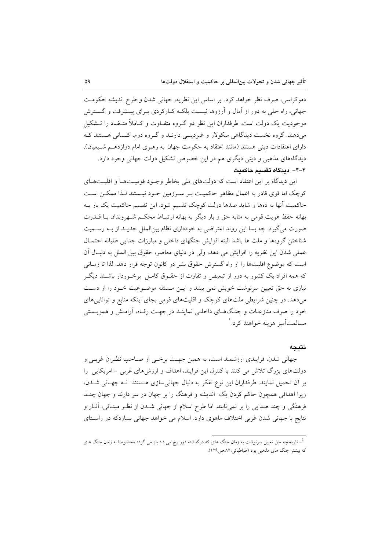دموکراسی، صرف نظر خواهد کرد. بر اساس این نظریه، جهانی شدن و طرح اندیشه حکومت جهانی، راه حلی به دور از آمال و آرزوها نیست بلکـه کـارکردی بـرای پیـشرفت و گـسترش موجودیت یک دولت است. طرفداران این نظر دو گـروه متفـاوت و کـاملاً متــضاد را تــشکیل می دهند. گروه نخست دیدگاهی سکولار و غیردینـی دارنـد و گـروه دوم، کـسانی هـستند کـه دارای اعتقادات دینی هستند (مانند اعتقاد به حکومت جهان به رهبری امام دوازدهـم شـيعيان). دیدگاههای مذهبی و دینی دیگری هم در این خصوص تشکیل دولت جهانی وجود دارد. ۴–۴– دىدگاه تقسىم حاكمىت

این دیدگاه بر این اعتقاد است که دولتهای ملی بخاطر وجـود قومبـتهـا و اقلیـتهـای کوچک اما قوی قادر به اعمال مظاهر حاکمیت بـر سـرزمین خـود نیـستند لـذا ممکــن اسـت حاکمیت آنها به دهها و شاید صدها دولت کوچک تقسیم شود. این تقسیم حاکمیت یک بار بـه بهانه حفظ هويت قومي به مثابه حق و بار ديگر به بهانه ارتبـاط محكـم شـهروندان بـا قــدرت صورت می گیرد. چه بسا این روند اعتراضی به خودداری نظام بینالملل جدیـد از بـه رسـمیت شناختن گروهها و ملت ها باشد البته افزایش جنگهای داخلی و مبارزات جدایی طلبانه احتمـال عملي شدن اين نظريه را افزايش مي دهد، ولي در دنياي معاصر، حقوق بين الملل به دنبـال آن است که موضوع اقلیتها را از راه گسترش حقوق بشر در کانون توجه قرار دهد. لذا تا زمـانی که همه افراد یک کشور به دور از تبعیض و تفاوت از حقـوق کامـل برخـوردار باشــند دیگـر نیازی به حق تعیین سرنوشت خویش نمی بینند و ایـن مـسئله موضـوعیت خـود را از دسـت می دهد. در چنین شرایطی ملتهای کوچک و اقلیتهای قومی بجای اینکه منابع و توانایی های خود را صرف منازعـات و جنـگـهـاى داخلـي نماينـد در جهـت رفـاه، آرامـش و همزيــستي مسالمتآميز هزينه خواهند كرد. `

## نتىحە

جهاني شدن، فرايندي ارزشمند است، به همين جهـت برخـي از صـاحب نظـران غربـي و دولتهای بزرگ تلاش می کنند با کنترل این فرایند، اهداف و ارزشهای غربی - امریکایی را بر آن تحمیل نمایند. طرفداران این نوع تفکر به دنبال جهانی سازی هستند نـه جهـانی شـدن، زیرا اهدافی همچون حاکم کردن یک اندیشه و فرهنگ را بر جهان در سر دارند و جهان چنـد فرهنگی و چند صدایی را بر نمیتابند. اما طرح اسلام از جهانی شـدن از نظـر مبنـائی، آثــار و نتايج با جهاني شدن غربي اختلاف ماهوي دارد. اسلام مي خواهد جهاني بسازدكه در راسـتاي

<sup>&</sup>lt;sup>1</sup>– تاریخچه حق تعیین سرنوشت به زمان جنگ های که درگذشته دور رخ می داد باز می گردد مخصوصا به زمان جنگ های که بیشتر جنگ های مذهبی بود (طباطبائی،۸۲ص۱۲۹).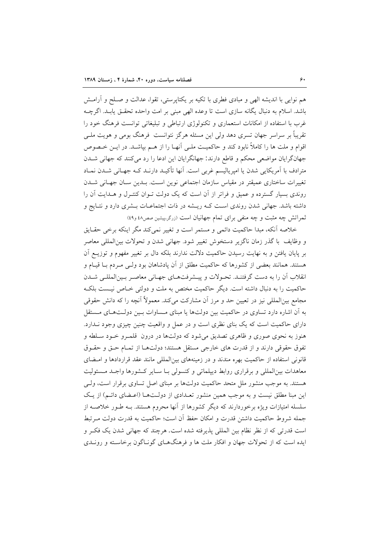هم نوایی با اندیشه الهی و مبادی فطری با تکیه بر یکتاپرستی، تقوا، عدالت و صـلح و آرامـش باشد. اسلام به دنبال یگانه سازی است تا وعده الهی مبنی بر امت واحده تحقـق یابـد. اگرچــه غرب با استفاده از امکانات استعماری و تکنولوژی ارتباطی و تبلیغاتی توانست فرهنگ خود را تقریباً بر سراسر جهان تسری دهد ولی این مسئله هرگز نتوانست فرهنگ بومی و هویت ملـی اقوام و ملت ها را كاملاً نابود كند و حاكميت ملـي آنهـا را از هـم بپاشــد. در ايــن خــصوص جهان گرایان مواضعی محکم و قاطع دارند: جهانگرایان این ادعا را رد می کنند که جهانی شـدن مترادف با آمریکایی شدن یا امیریالیسم غربی است. آنها تأکیـد دارنـد کـه جهـانی شــدن نمـاد تغییرات ساختاری عمیقتر در مقیاس سازمان اجتماعی نوین است. بـدین سـان جهـانی شــدن روندی بسیار گسترده و عمیق و فراتر از آن است که یک دولت تـوان کنتـرل و هـدایت آن را داشته باشد. جهانی شدن روندی است کـه ریـشه در ذات اجتماعـات بـشری دارد و نتـایج و ثمراتش چه مثبت و چه منفی برای تمام جهانیان است (زرگر،پیشین صص٤٨ و٤٩)

خلاصه آنکه، مبدا حاکمیت دائمی و مستمر است و تغییر نمی کند مگر اینکه برخی حقـایق و وظايف با گذر زمان ناگزير دستخوش تغيير شود. جهاني شدن و تحولات بين المللي معاصر بر پایان یافتن و به نهایت رسیدن حاکمیت دلالت ندارند بلکه دال بر تغییر مفهوم و توزیــع اَن هستند. همانند بعضی از کشورها که حاکمیت مطلق از آن پادشاهان بود ولـی مـردم بـا قیـام و انقلاب آن را به دست گرفتنـد. تحـولات و پیـشرفتهـای جهـانی معاصـر بـینالمللـی شـدن حاکمیت را به دنبال داشته است. دیگر حاکمیت مختص به ملت و دولتی خــاص نیــست بلکــه مجامع بینالمللی نیز در تعیین حد و مرز أن مشارکت میکند. معمولاً آنچه را که دانش حقوقی به آن اشاره دارد تساوی در حاکمیت بین دولتها یا مبنای مـساوات بـین دولـتهـای مـستقل دارای حاکمیت است که یک بنای نظری است و در عمل و واقعیت چنین چیزی وجود نـدارد. هنوز به نحوی صوری و ظاهری تصدیق می شود که دولتها در درون قلمـرو خــود سـلطه و تفوق حقوقی دارند و از قدرت های خارجی مستقل هستند؛ دولتها از تمـام حـق و حقـوق قانونی استفاده از حاکمیت بهره مندند و در زمینههای بین المللی مانند عقد قراردادها و امـضای معاهدات بینالمللی و برقراری روابط دیپلماتی و کنسولی بـا سـایر کـشورها واجـد مـسئولیت هستند. به موجب منشور ملل متحد حاکمیت دولتها بر مبنای اصل تساوی برقرار است، ولـی این مبنا مطلق نیست و به موجب همین منشور تعـدادی از دولـتهـا (اعـضای دائـم) از یـک سلسله امتیازات ویژه برخوردارند که دیگر کشورها از آنها محروم هستند. بـه طـور خلاصـه از جمله شروط حاكميت داشتن قدرت و امكان حفظ أن است؛ حاكميت به قدرت دولت مـرتبط است قدرتی که از نظر نظام بین المللی پذیرفته شده است. هرچند که جهانی شدن یک فکر و ایده است که از تحولات جهان و افکار ملت ها و فرهنگهـای گونـاگون برخاسـته و رونــدی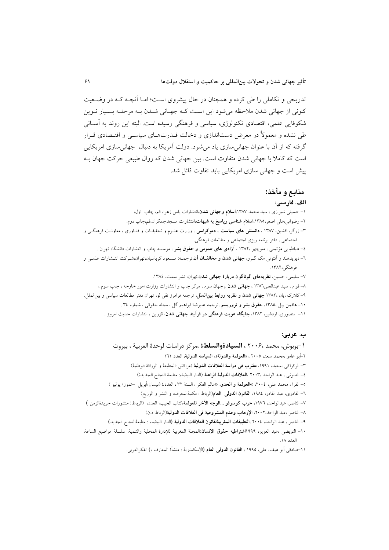تدریجی و تکاملی را طی کرده و همچنان در حال پیشروی است؛ امـا آنچـه کـه در وضـعیت کنونی از جهانی شدن ملاحظه می شود این است کـه جهـانی شــدن بـه مرحلـه بـسیار نــوین شکوفایی علمی، اقتصادی تکنولوژی، سیاسی و فرهنگی رسیده است. البته این روند به آسـانی طی نشده و معمولاً در معرض دستاندازی و دخالت قــدرتهــای سیاســی و اقتــصادی قــرار گرفته که از آن با عنوان جهانی سازی یاد می شود. دولت آمریکا به دنبال جهانی سازی امریکایی است که کاملا با جهانی شدن متفاوت است. بین جهانی شدن که روال طبیعی حرکت جهان بـه پیش است و جهانی سازی امریکایی باید تفاوت قائل شد.

# منابع و مأخذ: الف. فارسى:

۱- حسینی شیرازی ، سید محمد ۱۳۸۷،ا**سلام وجهانی شدن**،انتشارات یاس زهرا، قم، چاپ اول، ۲- رضوانی،علی اصغر،۱۳۸۵،ا**سلام شناسی ویاسخ به شبهات**،انتشارات مسجدجمکران،قم،چاپ دوم. ۳– زرگر، افشین، ۱۳۸۷ ، **دانستنی های سیاست ، دموکراسی** ، وزارت علـوم و تحقیقــات و فنــاوری ، معاونــت فرهنگــی و اجتماعي ، دفتر برنامه ريزي اجتماعي و مطالعات فرهنگي. ٤– طباطبایی مؤتمنی ، منوچهر ،١٣٨٢ ، <mark>آزادی های عمومی و حقوق بشر</mark> ، موسسه چاپ و انتشارات دانشگاه تهران . ٦- دیویدهلد و اَنتونی مک گـرو، **جهانی شدن و مخالفـان اَن**،ترجمــه: مـسعود کرباسیان،تهران،شــرکت انتـشارات علمــی و فرهنگی،۱۳۸۲. ٧- سلیمی، حسین، نظریههای گوناگون دربارهٔ جهانی شدن،تهران، نشر سمت، ١٣٨٤. ۸– قوام ، سید عبدالعلی۱۳۸**٦ ، جهانی شدن ,** جهان سوم ، مرکز چاپ و انتشارات وزارت امور خارجه ، چاپ سوم ، ۹- کلارک ،یان ،۱۳۸۲ جهانی شدن و نظریه روابط بین الملل، ترجمه فرامرز تقی لو، تهران دفتر مطالعات سیاسی و بین الملل. ۱۰– هافمن ،پل ،۱۳۸۵، حقوق بشر و تروریسم ،ترجمه علیرضا ابراهیم گل ، مجله حقوقی ، شماره ۳٤. ۱۱- منصوری، اردشیر، ۱۳۸۲، **جایگاه هویت فرهنگی در فرآیند جهانی شدن**، قزوین ، انتشارات حدیث امروز .

#### ب. عربي:

١-بوبوش، محمد ٢٠٠۶ ، **السيادةوالسلط**ة ،مركز دراسات لوحدة العربية ، بيروت ٢-أبو عامو ،محمد سعد، ٢٠٠٥ ، «العولمة والدولة»، السياسه الدولية، العدد ١٦١ ٣- الركراكي ،سعيد، ١٩٩١، مقترب في دراسة العلاقات الدولية (مراكش :المطبعة و الوراقة الوطنية) ٤- الصوني ، عبد الواحد ٢٠٠٣، العلاقات الدولية الراهنة (الدار البيضاء: مطبعة النجاح الجديدة) ٥- الفرا ، محمد علي، ٢٠٠٤، »العولمة و الحدو، «عالم الفكر ، السنة ٣٢، العدد٤ (نيسان/أبريل –تموز/ يوليو ) ٦- القادري، عبد القادر، ١٩٨٤، القانون الدولي العام(الرباط : مكتبةالمعرف، و النشر و الوزيع) ٧– الناصر، عبدالواحد، ١٩٧٦، حرب كوسوفو …ا**لوجه الآخر للعولم**ة،كتاب الجيب؛ العدد، (الرباط: منشورات جريدةالزمن ) ٨- الناصر ،عبد الواحد،٢٠٠٢، الإرهاب وعدم المشروعية في العلاقات الدولية(الرباط د.ن) ٩- الناصر ، عبد الواحد، ٢٠٠٤ ،التطبيقات المغربيةلقانون العلاقات الدولية (الدار البيضاء : مطبعةالنجاح الجديد) ١٠- النويضي ،عبد العزيز، ١٩٩٩ا**شتراطيه حقوق الإنسان**:المجلة المغربية للإدارة المحلية والتنمية، سلسلة مواضيع الساعة، العدد ١٨. ١١–صادقي أبو هيف، علي، ١٩٩٥ ، ا**لقانون الدولي العام** (الإسكندرية : منشأة المعارف ،) الفكرالعربي.